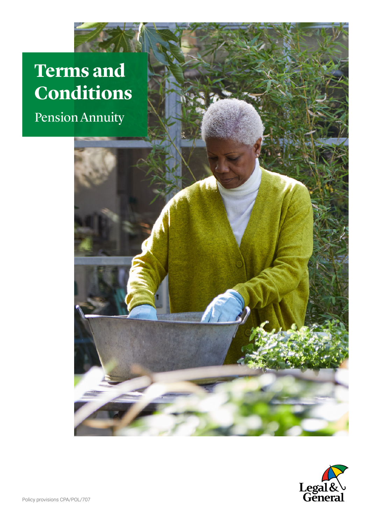## **Terms and Conditions**

Pension Annuity

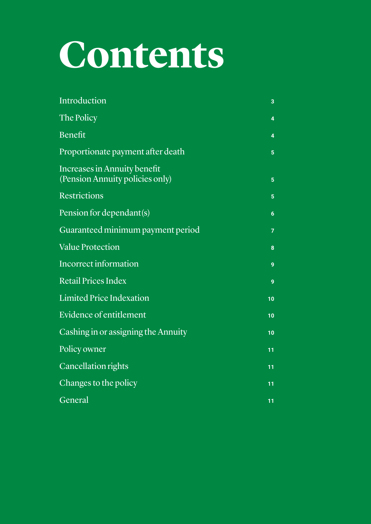## **Contents**

| Introduction                                                    | 3  |
|-----------------------------------------------------------------|----|
| The Policy                                                      | 4  |
| Benefit                                                         | 4  |
| Proportionate payment after death                               | 5  |
| Increases in Annuity benefit<br>(Pension Annuity policies only) | 5  |
| <b>Restrictions</b>                                             | 5  |
| Pension for dependant(s)                                        | 6  |
| Guaranteed minimum payment period                               | 7  |
| <b>Value Protection</b>                                         | 8  |
| <b>Incorrect information</b>                                    | 9  |
| <b>Retail Prices Index</b>                                      | 9  |
| <b>Limited Price Indexation</b>                                 | 10 |
| Evidence of entitlement                                         | 10 |
| Cashing in or assigning the Annuity                             | 10 |
| Policy owner                                                    | 11 |
| <b>Cancellation rights</b>                                      | 11 |
| Changes to the policy                                           | 11 |
| General                                                         | 11 |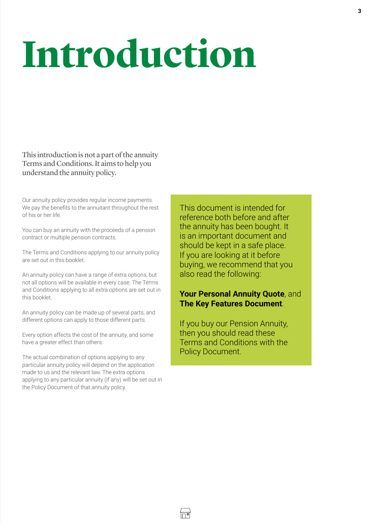# <span id="page-2-0"></span>**Introduction**

This introduction is not a part of the annuity Terms and Conditions. It aims to help you understand the annuity policy.

Our annuity policy provides regular income payments. We pay the benefits to the annuitant throughout the rest of his or her life.

You can buy an annuity with the proceeds of a pension contract or multiple pension contracts.

The Terms and Conditions applying to our annuity policy are set out in this booklet.

An annuity policy can have a range of extra options, but not all options will be available in every case. The Terms and Conditions applying to all extra options are set out in this booklet.

An annuity policy can be made up of several parts, and different options can apply to those different parts.

Every option affects the cost of the annuity, and some have a greater effect than others.

The actual combination of options applying to any particular annuity policy will depend on the application made to us and the relevant law. The extra options applying to any particular annuity (if any) will be set out in the Policy Document of that annuity policy.

This document is intended for reference both before and after the annuity has been bought. It is an important document and should be kept in a safe place. If you are looking at it before buying, we recommend that you also read the following:

#### **Your Personal Annuity Quote**, and **The Key Features Document**.

If you buy our Pension Annuity, then you should read these Terms and Conditions with the Policy Document.

3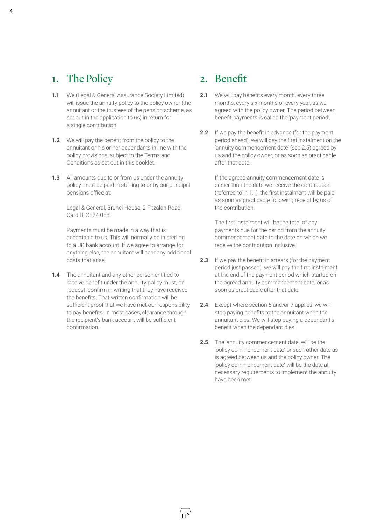## <span id="page-3-0"></span>1. The Policy

- <span id="page-3-2"></span>**1.1** We (Legal & General Assurance Society Limited) will issue the annuity policy to the policy owner (the annuitant or the trustees of the pension scheme, as set out in the application to us) in return for a single contribution.
- **1.2** We will pay the benefit from the policy to the annuitant or his or her dependants in line with the policy provisions, subject to the Terms and Conditions as set out in this booklet.
- **1.3** All amounts due to or from us under the annuity policy must be paid in sterling to or by our principal pensions office at:

Legal & General, Brunel House, 2 Fitzalan Road, Cardiff, CF24 0EB.

Payments must be made in a way that is acceptable to us. This will normally be in sterling to a UK bank account. If we agree to arrange for anything else, the annuitant will bear any additional costs that arise.

1.4 The annuitant and any other person entitled to receive benefit under the annuity policy must, on request, confirm in writing that they have received the benefits. That written confirmation will be sufficient proof that we have met our responsibility to pay benefits. In most cases, clearance through the recipient's bank account will be sufficient confirmation.

## 2. Benefit

- **2.1** We will pay benefits every month, every three months, every six months or every year, as we agreed with the policy owner. The period between benefit payments is called the 'payment period'.
- **2.2** If we pay the benefit in advance (for the payment period ahead), we will pay the first instalment on the 'annuity commencement date' (see [2.5\)](#page-3-1) agreed by us and the policy owner, or as soon as practicable after that date.

If the agreed annuity commencement date is earlier than the date we receive the contribution (referred to in [1.1](#page-3-2)), the first instalment will be paid as soon as practicable following receipt by us of the contribution.

The first instalment will be the total of any payments due for the period from the annuity commencement date to the date on which we receive the contribution inclusive.

- **2.3** If we pay the benefit in arrears (for the payment period just passed), we will pay the first instalment at the end of the payment period which started on the agreed annuity commencement date, or as soon as practicable after that date.
- **2.4** Except where section [6](#page-5-1) and/or [7](#page-6-1) applies, we will stop paying benefits to the annuitant when the annuitant dies. We will stop paying a dependant's benefit when the dependant dies.
- <span id="page-3-1"></span>**2.5** The 'annuity commencement date' will be the 'policy commencement date' or such other date as is agreed between us and the policy owner. The 'policy commencement date' will be the date all necessary requirements to implement the annuity have been met.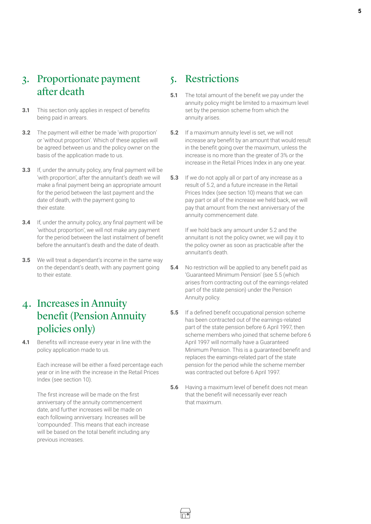## <span id="page-4-3"></span><span id="page-4-0"></span>3. Proportionate payment after death

- **3.1** This section only applies in respect of benefits being paid in arrears.
- **3.2** The payment will either be made 'with proportion' or 'without proportion'. Which of these applies will be agreed between us and the policy owner on the basis of the application made to us.
- **3.3** If, under the annuity policy, any final payment will be 'with proportion', after the annuitant's death we will make a final payment being an appropriate amount for the period between the last payment and the date of death, with the payment going to their estate.
- **3.4** If, under the annuity policy, any final payment will be 'without proportion', we will not make any payment for the period between the last instalment of benefit before the annuitant's death and the date of death.
- **3.5** We will treat a dependant's income in the same way on the dependant's death, with any payment going to their estate.
- 4. Increases in Annuity benefit (Pension Annuity policies only)
- **4.1** Benefits will increase every year in line with the policy application made to us.

Each increase will be either a fixed percentage each year or in line with the increase in the Retail Prices Index (see section [10\)](#page-8-1).

The first increase will be made on the first anniversary of the annuity commencement date, and further increases will be made on each following anniversary. Increases will be 'compounded'. This means that each increase will be based on the total benefit including any previous increases.

## 5. Restrictions

- **5.1** The total amount of the benefit we pay under the annuity policy might be limited to a maximum level set by the pension scheme from which the annuity arises.
- <span id="page-4-1"></span>**5.2** If a maximum annuity level is set, we will not increase any benefit by an amount that would result in the benefit going over the maximum, unless the increase is no more than the greater of 3% or the increase in the Retail Prices Index in any one year.
- **5.3** If we do not apply all or part of any increase as a result of [5.2,](#page-4-1) and a future increase in the Retail Prices Index (see section [10](#page-8-1)) means that we can pay part or all of the increase we held back, we will pay that amount from the next anniversary of the annuity commencement date.

If we hold back any amount under [5](#page-4-1).2 and the annuitant is not the policy owner, we will pay it to the policy owner as soon as practicable after the annuitant's death.

- **5.4** No restriction will be applied to any benefit paid as 'Guaranteed Minimum Pension' (see [5.5](#page-4-2) (which arises from contracting out of the earnings-related part of the state pension) under the Pension Annuity policy.
- <span id="page-4-2"></span>**5.5** If a defined benefit occupational pension scheme has been contracted out of the earnings-related part of the state pension before 6 April 1997, then scheme members who joined that scheme before 6 April 1997 will normally have a Guaranteed Minimum Pension. This is a guaranteed benefit and replaces the earnings-related part of the state pension for the period while the scheme member was contracted out before 6 April 1997.
- **5.6** Having a maximum level of benefit does not mean that the benefit will necessarily ever reach that maximum.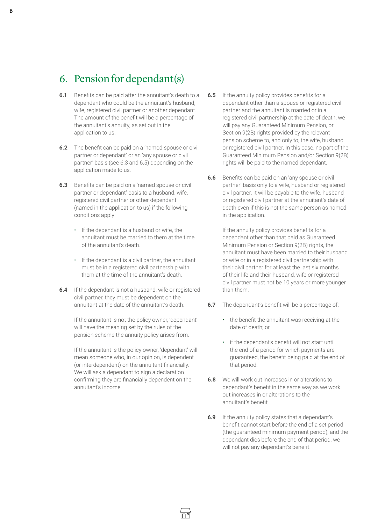## <span id="page-5-1"></span><span id="page-5-0"></span>6. Pension for dependant(s)

- **6.1** Benefits can be paid after the annuitant's death to a dependant who could be the annuitant's husband, wife, registered civil partner or another dependant. The amount of the benefit will be a percentage of the annuitant's annuity, as set out in the application to us.
- **6.2** The benefit can be paid on a 'named spouse or civil partner or dependant' or an 'any spouse or civil partner' basis (see [6.3](#page-5-2) and [6.5\)](#page-5-3) depending on the application made to us.
- <span id="page-5-2"></span>**6.3** Benefits can be paid on a 'named spouse or civil partner or dependant' basis to a husband, wife, registered civil partner or other dependant (named in the application to us) if the following conditions apply:
	- If the dependant is a husband or wife, the annuitant must be married to them at the time of the annuitant's death.
	- If the dependant is a civil partner, the annuitant must be in a registered civil partnership with them at the time of the annuitant's death.
- <span id="page-5-4"></span>**6.4** If the dependant is not a husband, wife or registered civil partner, they must be dependent on the annuitant at the date of the annuitant's death.

If the annuitant is not the policy owner, 'dependant' will have the meaning set by the rules of the pension scheme the annuity policy arises from.

If the annuitant is the policy owner, 'dependant' will mean someone who, in our opinion, is dependent (or interdependent) on the annuitant financially. We will ask a dependant to sign a declaration confirming they are financially dependent on the annuitant's income.

- <span id="page-5-3"></span>**6.5** If the annuity policy provides benefits for a dependant other than a spouse or registered civil partner and the annuitant is married or in a registered civil partnership at the date of death, we will pay any Guaranteed Minimum Pension, or Section 9(2B) rights provided by the relevant pension scheme to, and only to, the wife, husband or registered civil partner. In this case, no part of the Guaranteed Minimum Pension and/or Section 9(2B) rights will be paid to the named dependant.
- **6.6** Benefits can be paid on an 'any spouse or civil partner' basis only to a wife, husband or registered civil partner. It will be payable to the wife, husband or registered civil partner at the annuitant's date of death even if this is not the same person as named in the application.

If the annuity policy provides benefits for a dependant other than that paid as Guaranteed Minimum Pension or Section 9(2B) rights, the annuitant must have been married to their husband or wife or in a registered civil partnership with their civil partner for at least the last six months of their life and their husband, wife or registered civil partner must not be 10 years or more younger than them.

- **6.7** The dependant's benefit will be a percentage of:
	- the benefit the annuitant was receiving at the date of death; or
	- if the dependant's benefit will not start until the end of a period for which payments are guaranteed, the benefit being paid at the end of that period.
- **6.8** We will work out increases in or alterations to dependant's benefit in the same way as we work out increases in or alterations to the annuitant's benefit.
- **6.9** If the annuity policy states that a dependant's benefit cannot start before the end of a set period (the guaranteed minimum payment period), and the dependant dies before the end of that period, we will not pay any dependant's benefit.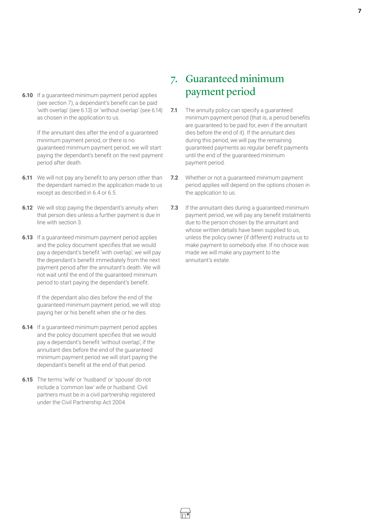<span id="page-6-0"></span>**6.10** If a guaranteed minimum payment period applies (see section [7](#page-6-1)), a dependant's benefit can be paid 'with overlap' (see [6.13](#page-6-2)) or 'without overlap' (see 6.[14](#page-6-3)) as chosen in the application to us.

> If the annuitant dies after the end of a guaranteed minimum payment period, or there is no guaranteed minimum payment period, we will start paying the dependant's benefit on the next payment period after death.

- **6.11** We will not pay any benefit to any person other than the dependant named in the application made to us except as described in 6[.4](#page-5-4) or [6.5](#page-5-3).
- **6.12** We will stop paying the dependant's annuity when that person dies unless a further payment is due in line with section [3](#page-4-3).
- <span id="page-6-2"></span>**6.13** If a guaranteed minimum payment period applies and the policy document specifies that we would pay a dependant's benefit 'with overlap', we will pay the dependant's benefit immediately from the next payment period after the annuitant's death. We will not wait until the end of the guaranteed minimum period to start paying the dependant's benefit.

If the dependant also dies before the end of the guaranteed minimum payment period, we will stop paying her or his benefit when she or he dies.

- <span id="page-6-3"></span>**6.14** If a guaranteed minimum payment period applies and the policy document specifies that we would pay a dependant's benefit 'without overlap', if the annuitant dies before the end of the guaranteed minimum payment period we will start paying the dependant's benefit at the end of that period.
- **6.15** The terms 'wife' or 'husband' or 'spouse' do not include a 'common law' wife or husband. Civil partners must be in a civil partnership registered under the Civil Partnership Act 2004.

## <span id="page-6-1"></span>7. Guaranteed minimum payment period

- **7.1** The annuity policy can specify a guaranteed minimum payment period (that is, a period benefits are guaranteed to be paid for, even if the annuitant dies before the end of it). If the annuitant dies during this period, we will pay the remaining guaranteed payments as regular benefit payments until the end of the guaranteed minimum payment period.
- **7.2** Whether or not a guaranteed minimum payment period applies will depend on the options chosen in the application to us.
- **7.3** If the annuitant dies during a guaranteed minimum payment period, we will pay any benefit instalments due to the person chosen by the annuitant and whose written details have been supplied to us. unless the policy owner (if different) instructs us to make payment to somebody else. If no choice was made we will make any payment to the annuitant's estate.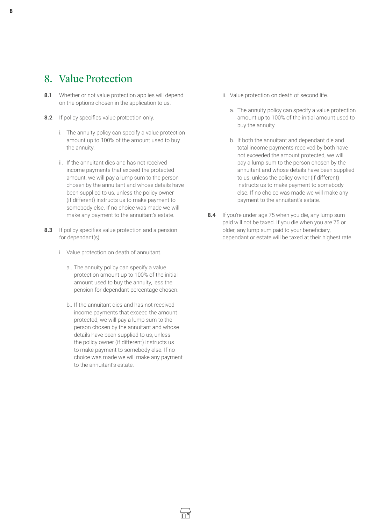## <span id="page-7-0"></span>8. Value Protection

- **8.1** Whether or not value protection applies will depend on the options chosen in the application to us.
- **8.2** If policy specifies value protection only.
	- i. The annuity policy can specify a value protection amount up to 100% of the amount used to buy the annuity.
	- ii. If the annuitant dies and has not received income payments that exceed the protected amount, we will pay a lump sum to the person chosen by the annuitant and whose details have been supplied to us, unless the policy owner (if different) instructs us to make payment to somebody else. If no choice was made we will make any payment to the annuitant's estate.
- **8.3** If policy specifies value protection and a pension for dependant(s).
	- i. Value protection on death of annuitant.
		- a.. The annuity policy can specify a value protection amount up to 100% of the initial amount used to buy the annuity, less the pension for dependant percentage chosen.
		- b.. If the annuitant dies and has not received income payments that exceed the amount protected, we will pay a lump sum to the person chosen by the annuitant and whose details have been supplied to us, unless the policy owner (if different) instructs us to make payment to somebody else. If no choice was made we will make any payment to the annuitant's estate.
- ii. Value protection on death of second life.
	- a. The annuity policy can specify a value protection amount up to 100% of the initial amount used to buy the annuity.
	- b. If both the annuitant and dependant die and total income payments received by both have not exceeded the amount protected, we will pay a lump sum to the person chosen by the annuitant and whose details have been supplied to us, unless the policy owner (if different) instructs us to make payment to somebody else. If no choice was made we will make any payment to the annuitant's estate.
- **8.4** If you're under age 75 when you die, any lump sum paid will not be taxed. If you die when you are 75 or older, any lump sum paid to your beneficiary, dependant or estate will be taxed at their highest rate.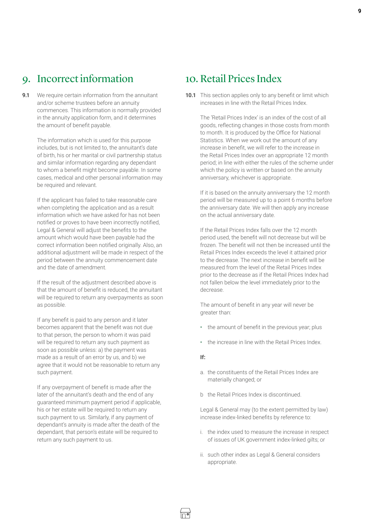## <span id="page-8-0"></span>9. Incorrect information

**9.1** We require certain information from the annuitant and/or scheme trustees before an annuity commences. This information is normally provided in the annuity application form, and it determines the amount of benefit payable.

> The information which is used for this purpose includes, but is not limited to, the annuitant's date of birth, his or her marital or civil partnership status and similar information regarding any dependant to whom a benefit might become payable. In some cases, medical and other personal information may be required and relevant.

> If the applicant has failed to take reasonable care when completing the application and as a result information which we have asked for has not been notified or proves to have been incorrectly notified, Legal & General will adjust the benefits to the amount which would have been payable had the correct information been notified originally. Also, an additional adjustment will be made in respect of the period between the annuity commencement date and the date of amendment.

> If the result of the adjustment described above is that the amount of benefit is reduced, the annuitant will be required to return any overpayments as soon as possible.

If any benefit is paid to any person and it later becomes apparent that the benefit was not due to that person, the person to whom it was paid will be required to return any such payment as soon as possible unless: a) the payment was made as a result of an error by us, and b) we agree that it would not be reasonable to return any such payment.

If any overpayment of benefit is made after the later of the annuitant's death and the end of any guaranteed minimum payment period if applicable, his or her estate will be required to return any such payment to us. Similarly, if any payment of dependant's annuity is made after the death of the dependant, that person's estate will be required to return any such payment to us.

## <span id="page-8-1"></span>10. Retail Prices Index

**10.1** This section applies only to any benefit or limit which increases in line with the Retail Prices Index.

The 'Retail Prices Index' is an index of the cost of all goods, reflecting changes in those costs from month to month. It is produced by the Office for National Statistics. When we work out the amount of any increase in benefit, we will refer to the increase in the Retail Prices Index over an appropriate 12 month period; in line with either the rules of the scheme under which the policy is written or based on the annuity anniversary, whichever is appropriate.

If it is based on the annuity anniversary the 12 month period will be measured up to a point 6 months before the anniversary date. We will then apply any increase on the actual anniversary date.

If the Retail Prices Index falls over the 12 month period used, the benefit will not decrease but will be frozen. The benefit will not then be increased until the Retail Prices Index exceeds the level it attained prior to the decrease. The next increase in benefit will be measured from the level of the Retail Prices Index prior to the decrease as if the Retail Prices Index had not fallen below the level immediately prior to the decrease.

The amount of benefit in any year will never be greater than:

- the amount of benefit in the previous year; plus
- the increase in line with the Retail Prices Index.

#### **If:**

- a. the constituents of the Retail Prices Index are materially changed; or
- b the Retail Prices Index is discontinued.

Legal & General may (to the extent permitted by law) increase index-linked benefits by reference to:

- i. the index used to measure the increase in respect of issues of UK government index-linked gilts; or
- ii. such other index as Legal & General considers appropriate.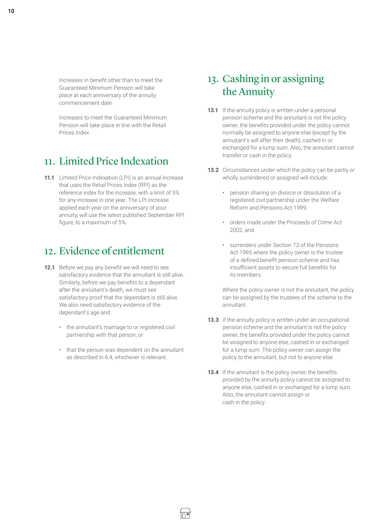<span id="page-9-0"></span>10

Increases in benefit other than to meet the Guaranteed Minimum Pension will take place at each anniversary of the annuity commencement date.

Increases to meet the Guaranteed Minimum Pension will take place in line with the Retail Prices Index.

## 11. Limited Price Indexation

**11.1** Limited Price Indexation (LPI) is an annual increase that uses the Retail Prices Index (RPI) as the reference index for the increase, with a limit of 5% for any increase in one year. The LPI increase applied each year on the anniversary of your annuity, will use the latest published September RPI figure, to a maximum of 5%.

## 12. Evidence of entitlement

- **12.1** Before we pay any benefit we will need to see satisfactory evidence that the annuitant is still alive. Similarly, before we pay benefits to a dependant after the annuitant's death, we must see satisfactory proof that the dependant is still alive. We also need satisfactory evidence of the dependant's age and:
	- the annuitant's marriage to or registered civil partnership with that person; or
	- that the person was dependent on the annuitant as described in [6.4](#page-5-4), whichever is relevant.

## 13. Cashing in or assigning the Annuity

- **13.1** If the annuity policy is written under a personal pension scheme and the annuitant is not the policy owner, the benefits provided under the policy cannot normally be assigned to anyone else (except by the annuitant's will after their death), cashed in or exchanged for a lump sum. Also, the annuitant cannot transfer or cash in the policy.
- **13.2** Circumstances under which the policy can be partly or wholly surrendered or assigned will include:
	- pension sharing on divorce or dissolution of a registered civil partnership under the Welfare Reform and Pensions Act 1999,
	- orders made under the Proceeds of Crime Act 2002, and
	- surrenders under Section 73 of the Pensions Act 1995 where the policy owner is the trustee of a defined benefit pension scheme and has insufficient assets to secure full benefits for its members.

Where the policy owner is not the annuitant, the policy can be assigned by the trustees of the scheme to the annuitant.

- **13.3** If the annuity policy is written under an occupational pension scheme and the annuitant is not the policy owner, the benefits provided under the policy cannot be assigned to anyone else, cashed in or exchanged for a lump sum. The policy owner can assign the policy to the annuitant, but not to anyone else.
- **13.4** If the annuitant is the policy owner, the benefits provided by the annuity policy cannot be assigned to anyone else, cashed in or exchanged for a lump sum. Also, the annuitant cannot assign or cash in the policy.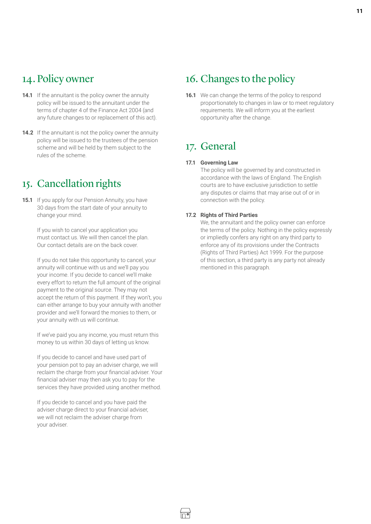## <span id="page-10-0"></span>14. Policy owner

- **14.1** If the annuitant is the policy owner the annuity policy will be issued to the annuitant under the terms of chapter 4 of the Finance Act 2004 (and any future changes to or replacement of this act).
- **14.2** If the annuitant is not the policy owner the annuity policy will be issued to the trustees of the pension scheme and will be held by them subject to the rules of the scheme.

## 15. Cancellation rights

**15.1** If you apply for our Pension Annuity, you have 30 days from the start date of your annuity to change your mind.

> If you wish to cancel your application you must contact us. We will then cancel the plan. Our contact details are on the back cover.

If you do not take this opportunity to cancel, your annuity will continue with us and we'll pay you your income. If you decide to cancel we'll make every effort to return the full amount of the original payment to the original source. They may not accept the return of this payment. If they won't, you can either arrange to buy your annuity with another provider and we'll forward the monies to them, or your annuity with us will continue.

If we've paid you any income, you must return this money to us within 30 days of letting us know.

If you decide to cancel and have used part of your pension pot to pay an adviser charge, we will reclaim the charge from your financial adviser. Your financial adviser may then ask you to pay for the services they have provided using another method.

If you decide to cancel and you have paid the adviser charge direct to your financial adviser, we will not reclaim the adviser charge from your adviser.

## 16. Changes to the policy

**16.1** We can change the terms of the policy to respond proportionately to changes in law or to meet regulatory requirements. We will inform you at the earliest opportunity after the change.

## 17. General

#### **17.1 Governing Law**

The policy will be governed by and constructed in accordance with the laws of England. The English courts are to have exclusive jurisdiction to settle any disputes or claims that may arise out of or in connection with the policy.

#### **17.2 Rights of Third Parties**

We, the annuitant and the policy owner can enforce the terms of the policy. Nothing in the policy expressly or impliedly confers any right on any third party to enforce any of its provisions under the Contracts (Rights of Third Parties) Act 1999. For the purpose of this section, a third party is any party not already mentioned in this paragraph.